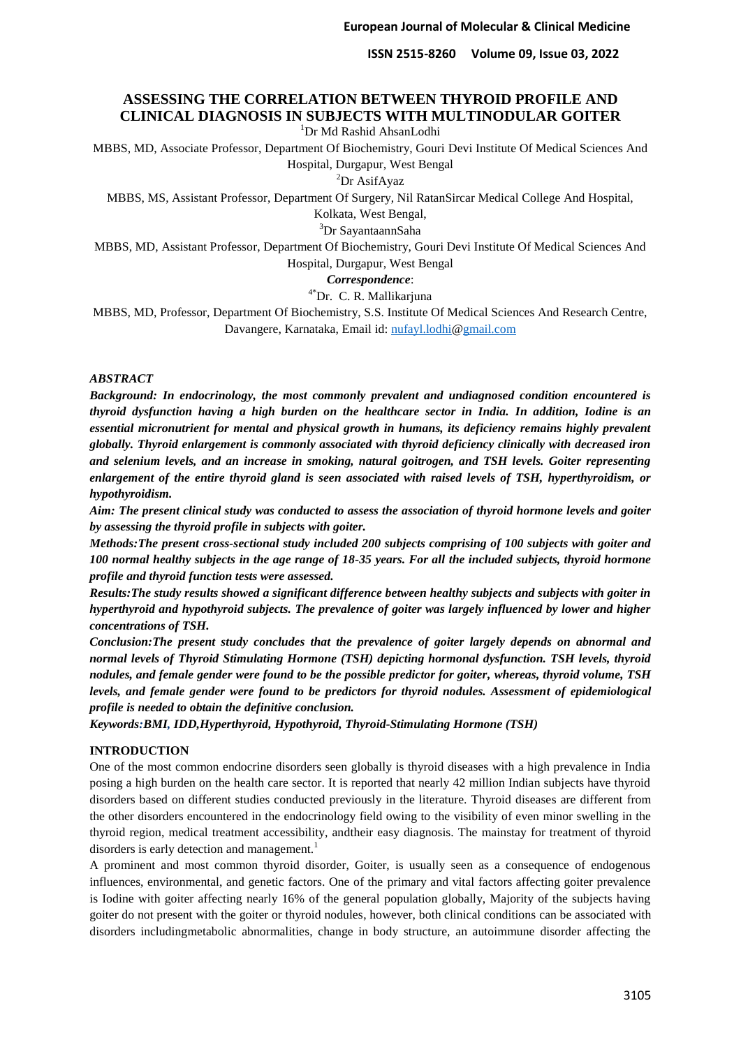**ISSN 2515-8260 Volume 09, Issue 03, 2022**

# **ASSESSING THE CORRELATION BETWEEN THYROID PROFILE AND CLINICAL DIAGNOSIS IN SUBJECTS WITH MULTINODULAR GOITER**

<sup>1</sup>Dr Md Rashid AhsanLodhi

MBBS, MD, Associate Professor, Department Of Biochemistry, Gouri Devi Institute Of Medical Sciences And

Hospital, Durgapur, West Bengal

<sup>2</sup>Dr AsifAyaz

MBBS, MS, Assistant Professor, Department Of Surgery, Nil RatanSircar Medical College And Hospital,

Kolkata, West Bengal,

<sup>3</sup>Dr SayantaannSaha

MBBS, MD, Assistant Professor, Department Of Biochemistry, Gouri Devi Institute Of Medical Sciences And Hospital, Durgapur, West Bengal

*Correspondence*:

4\*Dr. C. R. Mallikarjuna

MBBS, MD, Professor, Department Of Biochemistry, S.S. Institute Of Medical Sciences And Research Centre, Davangere, Karnataka, Email id: [nufayl.lodhi](http://nufayl.lodhi/)[@gmail.com](http://gmail.com/)

#### *ABSTRACT*

*Background: In endocrinology, the most commonly prevalent and undiagnosed condition encountered is thyroid dysfunction having a high burden on the healthcare sector in India. In addition, Iodine is an essential micronutrient for mental and physical growth in humans, its deficiency remains highly prevalent globally. Thyroid enlargement is commonly associated with thyroid deficiency clinically with decreased iron and selenium levels, and an increase in smoking, natural goitrogen, and TSH levels. Goiter representing enlargement of the entire thyroid gland is seen associated with raised levels of TSH, hyperthyroidism, or hypothyroidism.*

*Aim: The present clinical study was conducted to assess the association of thyroid hormone levels and goiter by assessing the thyroid profile in subjects with goiter.*

*Methods:The present cross-sectional study included 200 subjects comprising of 100 subjects with goiter and 100 normal healthy subjects in the age range of 18-35 years. For all the included subjects, thyroid hormone profile and thyroid function tests were assessed.*

*Results:The study results showed a significant difference between healthy subjects and subjects with goiter in hyperthyroid and hypothyroid subjects. The prevalence of goiter was largely influenced by lower and higher concentrations of TSH.* 

*Conclusion:The present study concludes that the prevalence of goiter largely depends on abnormal and normal levels of Thyroid Stimulating Hormone (TSH) depicting hormonal dysfunction. TSH levels, thyroid nodules, and female gender were found to be the possible predictor for goiter, whereas, thyroid volume, TSH levels, and female gender were found to be predictors for thyroid nodules. Assessment of epidemiological profile is needed to obtain the definitive conclusion.*

*Keywords:BMI, IDD,Hyperthyroid, Hypothyroid, Thyroid-Stimulating Hormone (TSH)*

### **INTRODUCTION**

One of the most common endocrine disorders seen globally is thyroid diseases with a high prevalence in India posing a high burden on the health care sector. It is reported that nearly 42 million Indian subjects have thyroid disorders based on different studies conducted previously in the literature. Thyroid diseases are different from the other disorders encountered in the endocrinology field owing to the visibility of even minor swelling in the thyroid region, medical treatment accessibility, andtheir easy diagnosis. The mainstay for treatment of thyroid disorders is early detection and management.<sup>1</sup>

A prominent and most common thyroid disorder, Goiter, is usually seen as a consequence of endogenous influences, environmental, and genetic factors. One of the primary and vital factors affecting goiter prevalence is Iodine with goiter affecting nearly 16% of the general population globally, Majority of the subjects having goiter do not present with the goiter or thyroid nodules, however, both clinical conditions can be associated with disorders includingmetabolic abnormalities, change in body structure, an autoimmune disorder affecting the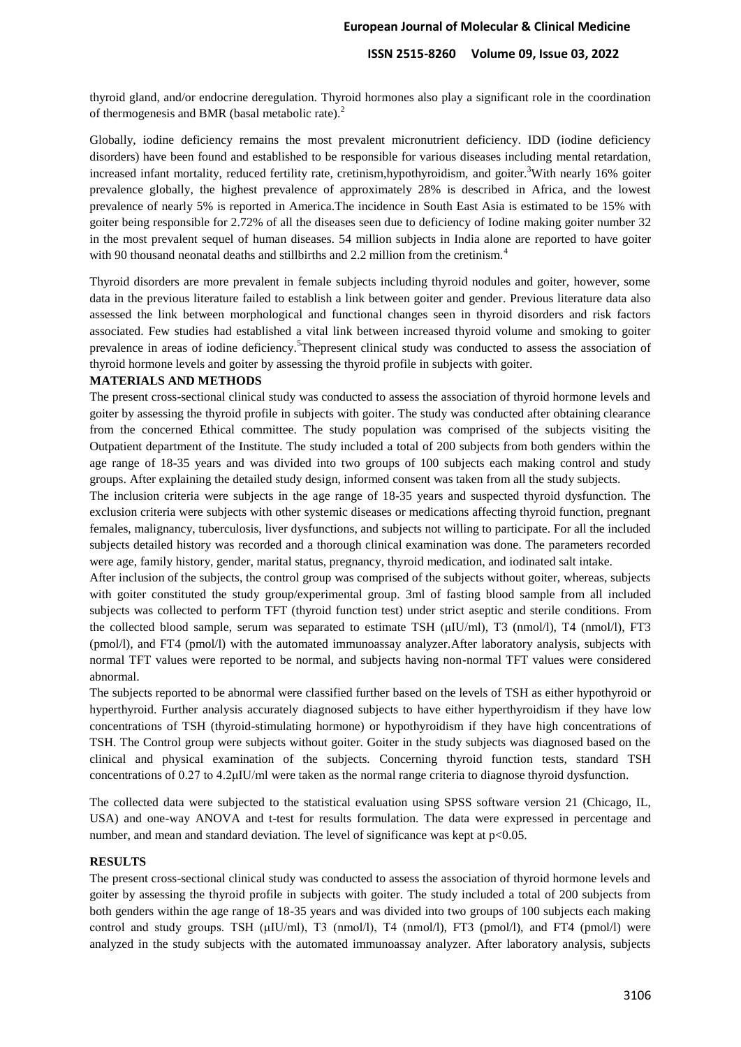#### **ISSN 2515-8260 Volume 09, Issue 03, 2022**

thyroid gland, and/or endocrine deregulation. Thyroid hormones also play a significant role in the coordination of thermogenesis and BMR (basal metabolic rate).<sup>2</sup>

Globally, iodine deficiency remains the most prevalent micronutrient deficiency. IDD (iodine deficiency disorders) have been found and established to be responsible for various diseases including mental retardation, increased infant mortality, reduced fertility rate, cretinism,hypothyroidism, and goiter.<sup>3</sup>With nearly 16% goiter prevalence globally, the highest prevalence of approximately 28% is described in Africa, and the lowest prevalence of nearly 5% is reported in America.The incidence in South East Asia is estimated to be 15% with goiter being responsible for 2.72% of all the diseases seen due to deficiency of Iodine making goiter number 32 in the most prevalent sequel of human diseases. 54 million subjects in India alone are reported to have goiter with 90 thousand neonatal deaths and stillbirths and 2.2 million from the cretinism.<sup>4</sup>

Thyroid disorders are more prevalent in female subjects including thyroid nodules and goiter, however, some data in the previous literature failed to establish a link between goiter and gender. Previous literature data also assessed the link between morphological and functional changes seen in thyroid disorders and risk factors associated. Few studies had established a vital link between increased thyroid volume and smoking to goiter prevalence in areas of iodine deficiency.<sup>5</sup>Thepresent clinical study was conducted to assess the association of thyroid hormone levels and goiter by assessing the thyroid profile in subjects with goiter.

#### **MATERIALS AND METHODS**

The present cross-sectional clinical study was conducted to assess the association of thyroid hormone levels and goiter by assessing the thyroid profile in subjects with goiter. The study was conducted after obtaining clearance from the concerned Ethical committee. The study population was comprised of the subjects visiting the Outpatient department of the Institute. The study included a total of 200 subjects from both genders within the age range of 18-35 years and was divided into two groups of 100 subjects each making control and study groups. After explaining the detailed study design, informed consent was taken from all the study subjects.

The inclusion criteria were subjects in the age range of 18-35 years and suspected thyroid dysfunction. The exclusion criteria were subjects with other systemic diseases or medications affecting thyroid function, pregnant females, malignancy, tuberculosis, liver dysfunctions, and subjects not willing to participate. For all the included subjects detailed history was recorded and a thorough clinical examination was done. The parameters recorded were age, family history, gender, marital status, pregnancy, thyroid medication, and iodinated salt intake.

After inclusion of the subjects, the control group was comprised of the subjects without goiter, whereas, subjects with goiter constituted the study group/experimental group. 3ml of fasting blood sample from all included subjects was collected to perform TFT (thyroid function test) under strict aseptic and sterile conditions. From the collected blood sample, serum was separated to estimate TSH ( $\mu$ IU/ml), T3 (nmol/l), T4 (nmol/l), FT3 (pmol/l), and FT4 (pmol/l) with the automated immunoassay analyzer.After laboratory analysis, subjects with normal TFT values were reported to be normal, and subjects having non-normal TFT values were considered abnormal.

The subjects reported to be abnormal were classified further based on the levels of TSH as either hypothyroid or hyperthyroid. Further analysis accurately diagnosed subjects to have either hyperthyroidism if they have low concentrations of TSH (thyroid-stimulating hormone) or hypothyroidism if they have high concentrations of TSH. The Control group were subjects without goiter. Goiter in the study subjects was diagnosed based on the clinical and physical examination of the subjects. Concerning thyroid function tests, standard TSH concentrations of 0.27 to 4.2μIU/ml were taken as the normal range criteria to diagnose thyroid dysfunction.

The collected data were subjected to the statistical evaluation using SPSS software version 21 (Chicago, IL, USA) and one-way ANOVA and t-test for results formulation. The data were expressed in percentage and number, and mean and standard deviation. The level of significance was kept at  $p<0.05$ .

#### **RESULTS**

The present cross-sectional clinical study was conducted to assess the association of thyroid hormone levels and goiter by assessing the thyroid profile in subjects with goiter. The study included a total of 200 subjects from both genders within the age range of 18-35 years and was divided into two groups of 100 subjects each making control and study groups. TSH ( $\mu$ IU/ml), T3 (nmol/l), T4 (nmol/l), FT3 (pmol/l), and FT4 (pmol/l) were analyzed in the study subjects with the automated immunoassay analyzer. After laboratory analysis, subjects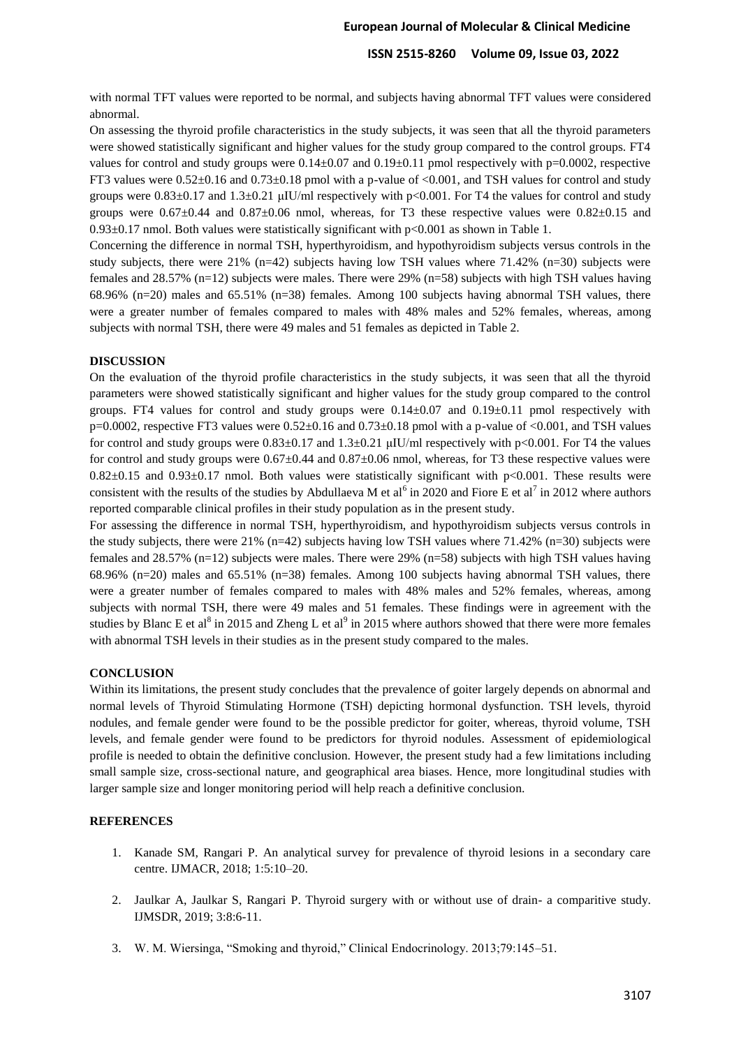#### **ISSN 2515-8260 Volume 09, Issue 03, 2022**

with normal TFT values were reported to be normal, and subjects having abnormal TFT values were considered abnormal.

On assessing the thyroid profile characteristics in the study subjects, it was seen that all the thyroid parameters were showed statistically significant and higher values for the study group compared to the control groups. FT4 values for control and study groups were  $0.14\pm0.07$  and  $0.19\pm0.11$  pmol respectively with p=0.0002, respective FT3 values were 0.52±0.16 and 0.73±0.18 pmol with a p-value of <0.001, and TSH values for control and study groups were  $0.83\pm0.17$  and  $1.3\pm0.21$  µIU/ml respectively with p<0.001. For T4 the values for control and study groups were  $0.67\pm0.44$  and  $0.87\pm0.06$  nmol, whereas, for T3 these respective values were  $0.82\pm0.15$  and  $0.93\pm0.17$  nmol. Both values were statistically significant with  $p<0.001$  as shown in Table 1.

Concerning the difference in normal TSH, hyperthyroidism, and hypothyroidism subjects versus controls in the study subjects, there were  $21\%$  (n=42) subjects having low TSH values where 71.42% (n=30) subjects were females and 28.57% (n=12) subjects were males. There were 29% (n=58) subjects with high TSH values having 68.96% (n=20) males and 65.51% (n=38) females. Among 100 subjects having abnormal TSH values, there were a greater number of females compared to males with 48% males and 52% females, whereas, among subjects with normal TSH, there were 49 males and 51 females as depicted in Table 2.

### **DISCUSSION**

On the evaluation of the thyroid profile characteristics in the study subjects, it was seen that all the thyroid parameters were showed statistically significant and higher values for the study group compared to the control groups. FT4 values for control and study groups were  $0.14 \pm 0.07$  and  $0.19 \pm 0.11$  pmol respectively with  $p=0.0002$ , respective FT3 values were  $0.52\pm0.16$  and  $0.73\pm0.18$  pmol with a p-value of <0.001, and TSH values for control and study groups were  $0.83\pm0.17$  and  $1.3\pm0.21$   $\mu$ IU/ml respectively with p<0.001. For T4 the values for control and study groups were 0.67±0.44 and 0.87±0.06 nmol, whereas, for T3 these respective values were  $0.82\pm0.15$  and  $0.93\pm0.17$  nmol. Both values were statistically significant with p<0.001. These results were consistent with the results of the studies by Abdullaeva M et al<sup>6</sup> in 2020 and Fiore E et al<sup>7</sup> in 2012 where authors reported comparable clinical profiles in their study population as in the present study.

For assessing the difference in normal TSH, hyperthyroidism, and hypothyroidism subjects versus controls in the study subjects, there were  $21\%$  (n=42) subjects having low TSH values where 71.42% (n=30) subjects were females and 28.57% (n=12) subjects were males. There were 29% (n=58) subjects with high TSH values having 68.96% (n=20) males and 65.51% (n=38) females. Among 100 subjects having abnormal TSH values, there were a greater number of females compared to males with 48% males and 52% females, whereas, among subjects with normal TSH, there were 49 males and 51 females. These findings were in agreement with the studies by Blanc E et al<sup>8</sup> in 2015 and Zheng L et al<sup>9</sup> in 2015 where authors showed that there were more females with abnormal TSH levels in their studies as in the present study compared to the males.

### **CONCLUSION**

Within its limitations, the present study concludes that the prevalence of goiter largely depends on abnormal and normal levels of Thyroid Stimulating Hormone (TSH) depicting hormonal dysfunction. TSH levels, thyroid nodules, and female gender were found to be the possible predictor for goiter, whereas, thyroid volume, TSH levels, and female gender were found to be predictors for thyroid nodules. Assessment of epidemiological profile is needed to obtain the definitive conclusion. However, the present study had a few limitations including small sample size, cross-sectional nature, and geographical area biases. Hence, more longitudinal studies with larger sample size and longer monitoring period will help reach a definitive conclusion.

### **REFERENCES**

- 1. Kanade SM, Rangari P. An analytical survey for prevalence of thyroid lesions in a secondary care centre. IJMACR, 2018; 1:5:10–20.
- 2. Jaulkar A, Jaulkar S, Rangari P. Thyroid surgery with or without use of drain- a comparitive study. IJMSDR, 2019; 3:8:6-11.
- 3. W. M. Wiersinga, "Smoking and thyroid," Clinical Endocrinology. 2013;79:145–51.